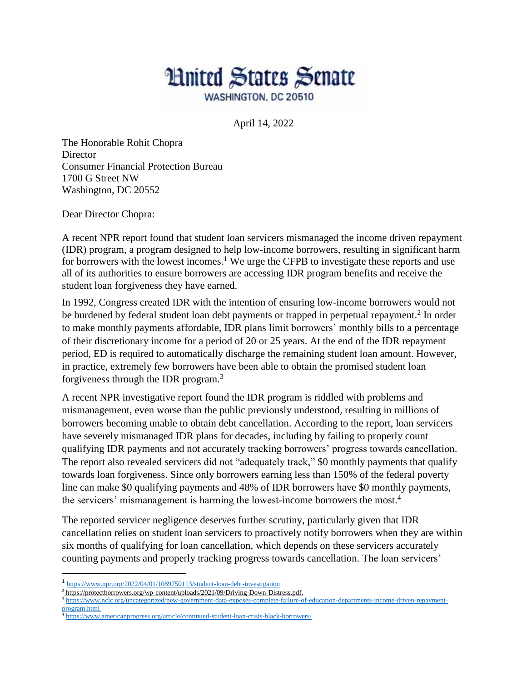

April 14, 2022

The Honorable Rohit Chopra **Director** Consumer Financial Protection Bureau 1700 G Street NW Washington, DC 20552

Dear Director Chopra:

A recent NPR report found that student loan servicers mismanaged the income driven repayment (IDR) program, a program designed to help low-income borrowers, resulting in significant harm for borrowers with the lowest incomes.<sup>1</sup> We urge the CFPB to investigate these reports and use all of its authorities to ensure borrowers are accessing IDR program benefits and receive the student loan forgiveness they have earned.

In 1992, Congress created IDR with the intention of ensuring low-income borrowers would not be burdened by federal student loan debt payments or trapped in perpetual repayment.<sup>2</sup> In order to make monthly payments affordable, IDR plans limit borrowers' monthly bills to a percentage of their discretionary income for a period of 20 or 25 years. At the end of the IDR repayment period, ED is required to automatically discharge the remaining student loan amount. However, in practice, extremely few borrowers have been able to obtain the promised student loan forgiveness through the IDR program.<sup>3</sup>

A recent NPR investigative report found the IDR program is riddled with problems and mismanagement, even worse than the public previously understood, resulting in millions of borrowers becoming unable to obtain debt cancellation. According to the report, loan servicers have severely mismanaged IDR plans for decades, including by failing to properly count qualifying IDR payments and not accurately tracking borrowers' progress towards cancellation. The report also revealed servicers did not "adequately track," \$0 monthly payments that qualify towards loan forgiveness. Since only borrowers earning less than 150% of the federal poverty line can make \$0 qualifying payments and 48% of IDR borrowers have \$0 monthly payments, the servicers' mismanagement is harming the lowest-income borrowers the most.<sup>4</sup>

The reported servicer negligence deserves further scrutiny, particularly given that IDR cancellation relies on student loan servicers to proactively notify borrowers when they are within six months of qualifying for loan cancellation, which depends on these servicers accurately counting payments and properly tracking progress towards cancellation. The loan servicers'

 $\overline{a}$ 

- <sup>2</sup> [https://protectborrowers.org/wp-content/uploads/2021/09/Driving-Down-Distress.pdf.](https://protectborrowers.org/wp-content/uploads/2021/09/Driving-Down-Distress.pdf)
- <sup>3</sup> [https://www.nclc.org/uncategorized/new-government-data-exposes-complete-failure-of-education-departments-income-driven-repayment](https://www.nclc.org/uncategorized/new-government-data-exposes-complete-failure-of-education-departments-income-driven-repayment-program.html)[program.html](https://www.nclc.org/uncategorized/new-government-data-exposes-complete-failure-of-education-departments-income-driven-repayment-program.html)
- <sup>4</sup> [https://www.americanprogress.org/article/continued-student-loan-crisis-black-borrowers/](about:blank)

<sup>&</sup>lt;sup>1</sup> [https://www.npr.org/2022/04/01/1089750113/student-loan-debt-investigation](about:blank)